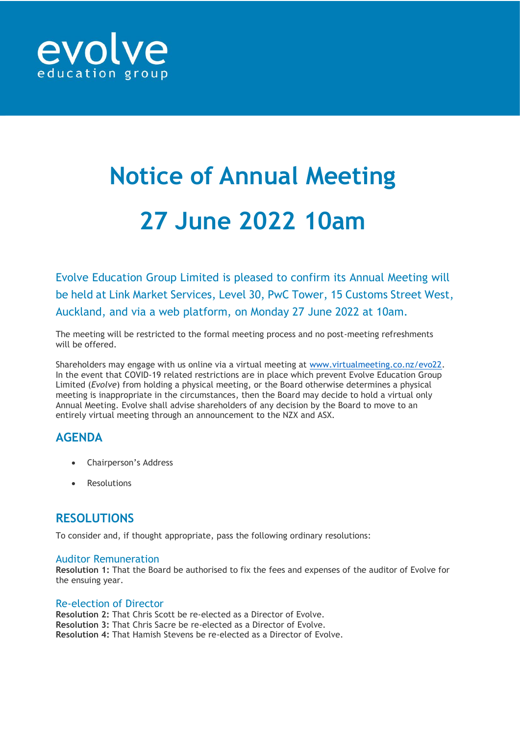

# **Notice of Annual Meeting 27 June 2022 10am**

Evolve Education Group Limited is pleased to confirm its Annual Meeting will be held at Link Market Services, Level 30, PwC Tower, 15 Customs Street West, Auckland, and via a web platform, on Monday 27 June 2022 at 10am.

The meeting will be restricted to the formal meeting process and no post-meeting refreshments will be offered.

Shareholders may engage with us online via a virtual meeting at [www.virtualmeeting.co.nz/evo22.](http://www.virtualmeeting.co.nz/evo22) In the event that COVID-19 related restrictions are in place which prevent Evolve Education Group Limited (*Evolve*) from holding a physical meeting, or the Board otherwise determines a physical meeting is inappropriate in the circumstances, then the Board may decide to hold a virtual only Annual Meeting. Evolve shall advise shareholders of any decision by the Board to move to an entirely virtual meeting through an announcement to the NZX and ASX.

## **AGENDA**

- Chairperson's Address
- **Resolutions**

## **RESOLUTIONS**

To consider and, if thought appropriate, pass the following ordinary resolutions:

#### Auditor Remuneration

**Resolution 1:** That the Board be authorised to fix the fees and expenses of the auditor of Evolve for the ensuing year.

#### Re-election of Director

**Resolution 2:** That Chris Scott be re-elected as a Director of Evolve. **Resolution 3:** That Chris Sacre be re-elected as a Director of Evolve. **Resolution 4:** That Hamish Stevens be re-elected as a Director of Evolve.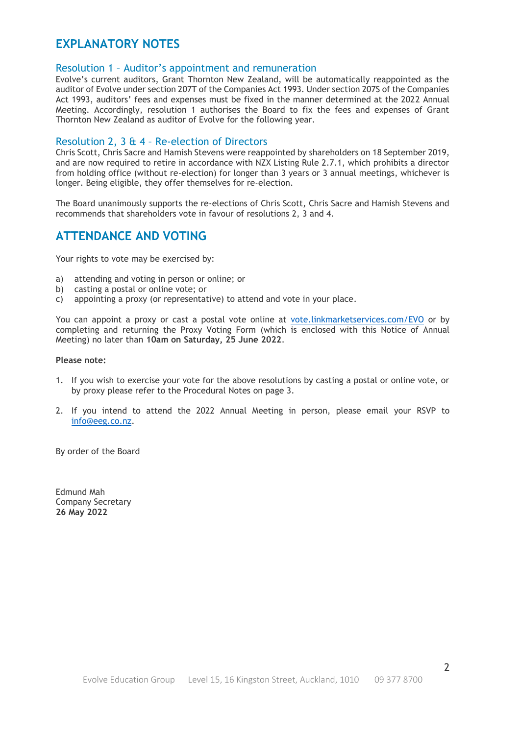## **EXPLANATORY NOTES**

#### Resolution 1 – Auditor's appointment and remuneration

Evolve's current auditors, Grant Thornton New Zealand, will be automatically reappointed as the auditor of Evolve under section 207T of the Companies Act 1993. Under section 207S of the Companies Act 1993, auditors' fees and expenses must be fixed in the manner determined at the 2022 Annual Meeting. Accordingly, resolution 1 authorises the Board to fix the fees and expenses of Grant Thornton New Zealand as auditor of Evolve for the following year.

#### Resolution 2, 3 & 4 – Re-election of Directors

Chris Scott, Chris Sacre and Hamish Stevens were reappointed by shareholders on 18 September 2019, and are now required to retire in accordance with NZX Listing Rule 2.7.1, which prohibits a director from holding office (without re-election) for longer than 3 years or 3 annual meetings, whichever is longer. Being eligible, they offer themselves for re-election.

The Board unanimously supports the re-elections of Chris Scott, Chris Sacre and Hamish Stevens and recommends that shareholders vote in favour of resolutions 2, 3 and 4.

### **ATTENDANCE AND VOTING**

Your rights to vote may be exercised by:

- a) attending and voting in person or online; or
- b) casting a postal or online vote; or
- c) appointing a proxy (or representative) to attend and vote in your place.

You can appoint a proxy or cast a postal vote online at [vote.linkmarketservices.com/EVO](file:///C:/Users/PhilipA/AppData/Local/Microsoft/Windows/INetCache/Content.Outlook/0LIOWAGV/vote.linkmarketservices.com/EVO) or by completing and returning the Proxy Voting Form (which is enclosed with this Notice of Annual Meeting) no later than **10am on Saturday, 25 June 2022**.

#### **Please note:**

- 1. If you wish to exercise your vote for the above resolutions by casting a postal or online vote, or by proxy please refer to the Procedural Notes on page 3.
- 2. If you intend to attend the 2022 Annual Meeting in person, please email your RSVP to [info@eeg.co.nz.](mailto:info@eeg.co.nz)

By order of the Board

Edmund Mah Company Secretary **26 May 2022**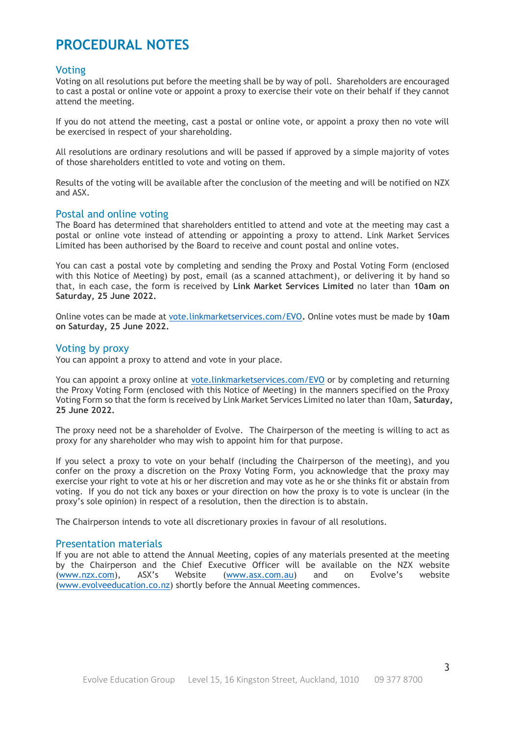# **PROCEDURAL NOTES**

#### Voting

Voting on all resolutions put before the meeting shall be by way of poll. Shareholders are encouraged to cast a postal or online vote or appoint a proxy to exercise their vote on their behalf if they cannot attend the meeting.

If you do not attend the meeting, cast a postal or online vote, or appoint a proxy then no vote will be exercised in respect of your shareholding.

All resolutions are ordinary resolutions and will be passed if approved by a simple majority of votes of those shareholders entitled to vote and voting on them.

Results of the voting will be available after the conclusion of the meeting and will be notified on NZX and ASX.

#### Postal and online voting

The Board has determined that shareholders entitled to attend and vote at the meeting may cast a postal or online vote instead of attending or appointing a proxy to attend. Link Market Services Limited has been authorised by the Board to receive and count postal and online votes.

You can cast a postal vote by completing and sending the Proxy and Postal Voting Form (enclosed with this Notice of Meeting) by post, email (as a scanned attachment), or delivering it by hand so that, in each case, the form is received by **Link Market Services Limited** no later than **10am on Saturday, 25 June 2022.**

Online votes can be made at [vote.linkmarketservices.com/EVO](file:///C:/Users/PhilipA/AppData/Local/Microsoft/Windows/INetCache/Content.Outlook/0LIOWAGV/vote.linkmarketservices.com/EVO)**.** Online votes must be made by **10am on Saturday, 25 June 2022.**

#### Voting by proxy

You can appoint a proxy to attend and vote in your place.

You can appoint a proxy online at [vote.linkmarketservices.com/EVO](file:///C:/Users/PhilipA/AppData/Local/Microsoft/Windows/INetCache/Content.Outlook/0LIOWAGV/vote.linkmarketservices.com/EVO) or by completing and returning the Proxy Voting Form (enclosed with this Notice of Meeting) in the manners specified on the Proxy Voting Form so that the form is received by Link Market Services Limited no later than 10am, **Saturday, 25 June 2022.**

The proxy need not be a shareholder of Evolve. The Chairperson of the meeting is willing to act as proxy for any shareholder who may wish to appoint him for that purpose.

If you select a proxy to vote on your behalf (including the Chairperson of the meeting), and you confer on the proxy a discretion on the Proxy Voting Form, you acknowledge that the proxy may exercise your right to vote at his or her discretion and may vote as he or she thinks fit or abstain from voting. If you do not tick any boxes or your direction on how the proxy is to vote is unclear (in the proxy's sole opinion) in respect of a resolution, then the direction is to abstain.

The Chairperson intends to vote all discretionary proxies in favour of all resolutions.

#### Presentation materials

If you are not able to attend the Annual Meeting, copies of any materials presented at the meeting by the Chairperson and the Chief Executive Officer will be available on the NZX website [\(www.nzx.com\)](http://www.nzx.com/), ASX's Website ([www.asx.com.au\)](http://www.asx.com.au/) and on Evolve's website [\(www.evolveeducation.co.nz\)](http://www.evolveeducation.co.nz/) shortly before the Annual Meeting commences.